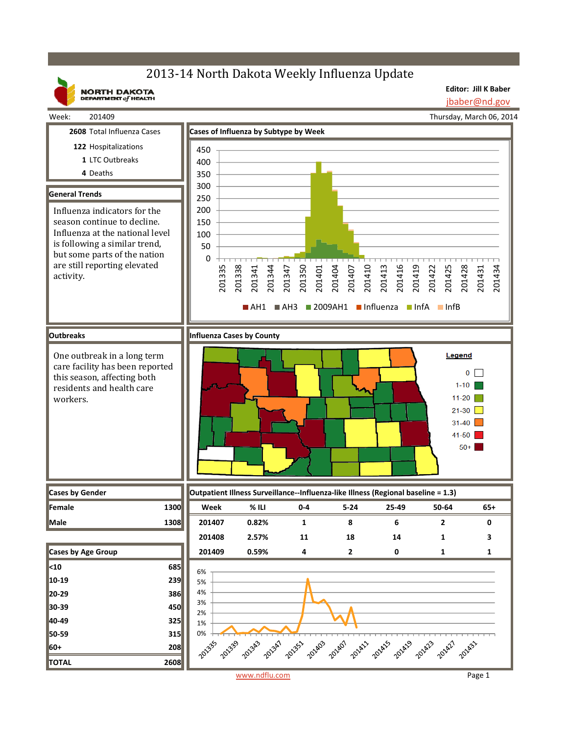## 2013-14 North Dakota Weekly Influenza Update

**NORTH DAKOTA**<br>DEPARTMENT of HEALTH

**Editor: Jill K Baber** jbaber@nd.gov